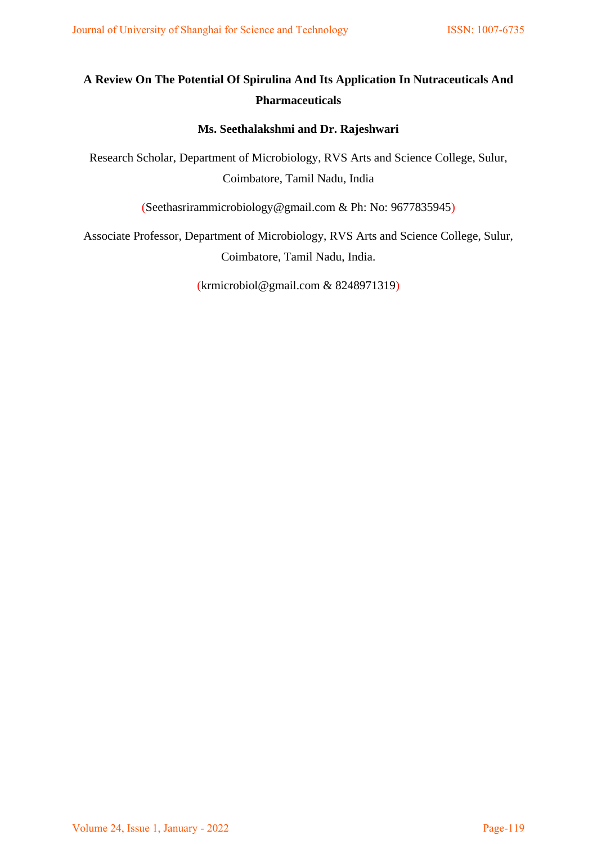# **A Review On The Potential Of Spirulina And Its Application In Nutraceuticals And Pharmaceuticals**

## **Ms. Seethalakshmi and Dr. Rajeshwari**

Research Scholar, Department of Microbiology, RVS Arts and Science College, Sulur, Coimbatore, Tamil Nadu, India

(Seethasrirammicrobiology@gmail.com & Ph: No: 9677835945)

Associate Professor, Department of Microbiology, RVS Arts and Science College, Sulur, Coimbatore, Tamil Nadu, India.

[\(krmicrobiol@gmail.com](mailto:krmicrobiol@gmail.com) & 8248971319)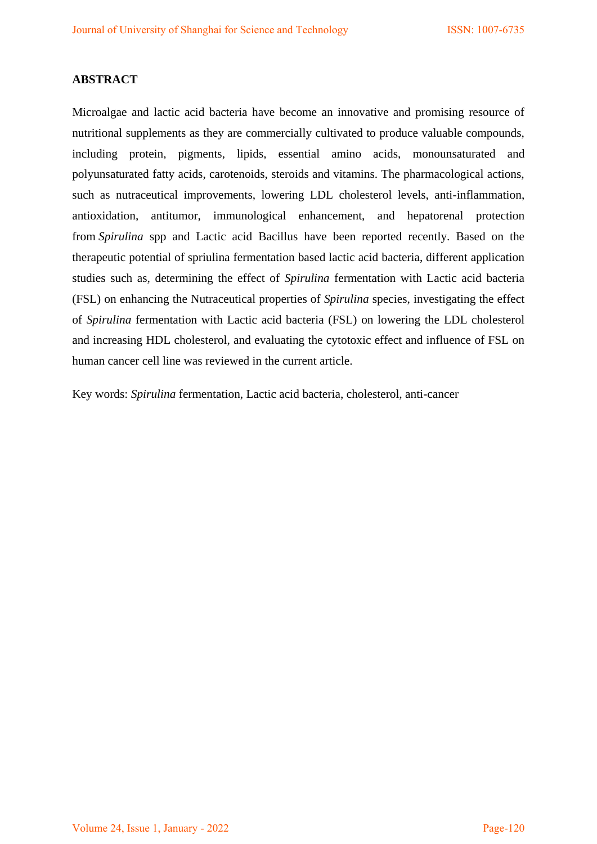## **ABSTRACT**

Microalgae and lactic acid bacteria have become an innovative and promising resource of nutritional supplements as they are commercially cultivated to produce valuable compounds, including protein, pigments, lipids, essential amino acids, monounsaturated and polyunsaturated fatty acids, carotenoids, steroids and vitamins. The pharmacological actions, such as nutraceutical improvements, lowering LDL cholesterol levels, anti-inflammation, antioxidation, antitumor, immunological enhancement, and hepatorenal protection from *Spirulina* spp and Lactic acid Bacillus have been reported recently. Based on the therapeutic potential of spriulina fermentation based lactic acid bacteria, different application studies such as, determining the effect of *Spirulina* fermentation with Lactic acid bacteria (FSL) on enhancing the Nutraceutical properties of *Spirulina* species, investigating the effect of *Spirulina* fermentation with Lactic acid bacteria (FSL) on lowering the LDL cholesterol and increasing HDL cholesterol, and evaluating the cytotoxic effect and influence of FSL on human cancer cell line was reviewed in the current article.

Key words: *Spirulina* fermentation, Lactic acid bacteria, cholesterol, anti-cancer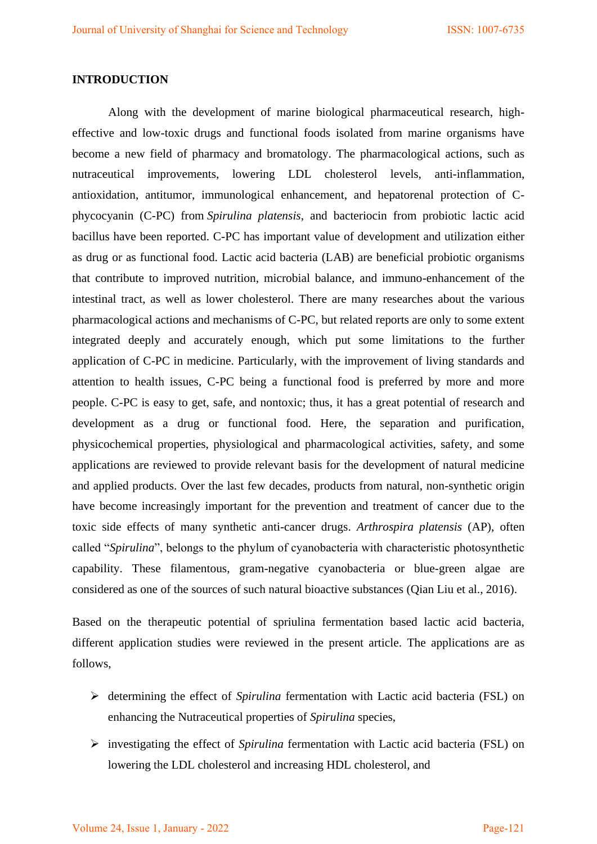### **INTRODUCTION**

Along with the development of marine biological pharmaceutical research, higheffective and low-toxic drugs and functional foods isolated from marine organisms have become a new field of pharmacy and bromatology. The pharmacological actions, such as nutraceutical improvements, lowering LDL cholesterol levels, anti-inflammation, antioxidation, antitumor, immunological enhancement, and hepatorenal protection of Cphycocyanin (C-PC) from *Spirulina platensis*, and bacteriocin from probiotic lactic acid bacillus have been reported. C-PC has important value of development and utilization either as drug or as functional food. Lactic acid bacteria (LAB) are beneficial probiotic organisms that contribute to improved nutrition, microbial balance, and immuno-enhancement of the intestinal tract, as well as lower cholesterol. There are many researches about the various pharmacological actions and mechanisms of C-PC, but related reports are only to some extent integrated deeply and accurately enough, which put some limitations to the further application of C-PC in medicine. Particularly, with the improvement of living standards and attention to health issues, C-PC being a functional food is preferred by more and more people. C-PC is easy to get, safe, and nontoxic; thus, it has a great potential of research and development as a drug or functional food. Here, the separation and purification, physicochemical properties, physiological and pharmacological activities, safety, and some applications are reviewed to provide relevant basis for the development of natural medicine and applied products. Over the last few decades, products from natural, non-synthetic origin have become increasingly important for the prevention and treatment of cancer due to the toxic side effects of many synthetic anti-cancer drugs. *Arthrospira platensis* (AP), often called "*Spirulina*", belongs to the phylum of cyanobacteria with characteristic photosynthetic capability. These filamentous, gram-negative cyanobacteria or blue-green algae are considered as one of the sources of such natural bioactive substances (Qian Liu et al., 2016).

Based on the therapeutic potential of spriulina fermentation based lactic acid bacteria, different application studies were reviewed in the present article. The applications are as follows,

- determining the effect of *Spirulina* fermentation with Lactic acid bacteria (FSL) on enhancing the Nutraceutical properties of *Spirulina* species,
- investigating the effect of *Spirulina* fermentation with Lactic acid bacteria (FSL) on lowering the LDL cholesterol and increasing HDL cholesterol, and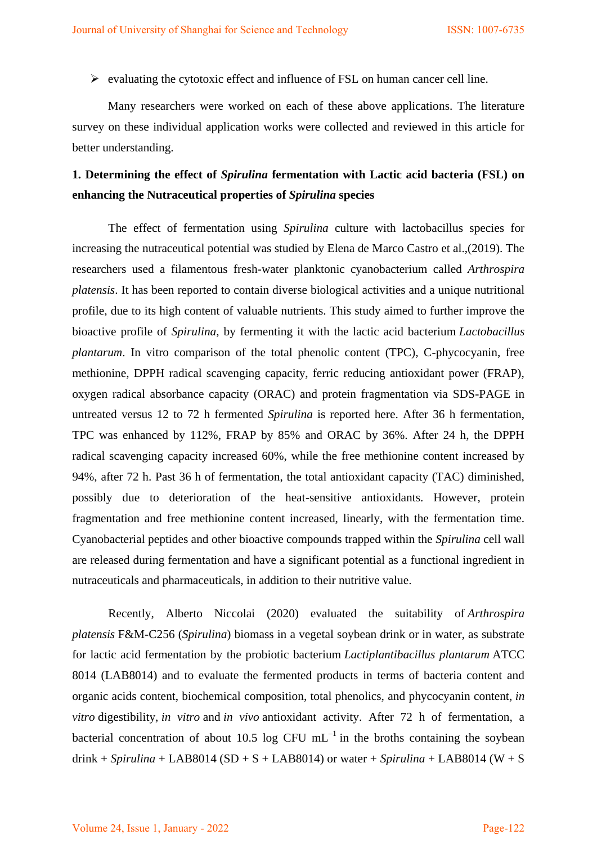$\triangleright$  evaluating the cytotoxic effect and influence of FSL on human cancer cell line.

Many researchers were worked on each of these above applications. The literature survey on these individual application works were collected and reviewed in this article for better understanding.

# **1. Determining the effect of** *Spirulina* **fermentation with Lactic acid bacteria (FSL) on enhancing the Nutraceutical properties of** *Spirulina* **species**

 The effect of fermentation using *Spirulina* culture with lactobacillus species for increasing the nutraceutical potential was studied by Elena de Marco Castro et al.,(2019). The researchers used a filamentous fresh-water planktonic cyanobacterium called *Arthrospira platensis*. It has been reported to contain diverse biological activities and a unique nutritional profile, due to its high content of valuable nutrients. This study aimed to further improve the bioactive profile of *Spirulina*, by fermenting it with the lactic acid bacterium *Lactobacillus plantarum*. In vitro comparison of the total phenolic content (TPC), C-phycocyanin, free methionine, DPPH radical scavenging capacity, ferric reducing antioxidant power (FRAP), oxygen radical absorbance capacity (ORAC) and protein fragmentation via SDS-PAGE in untreated versus 12 to 72 h fermented *Spirulina* is reported here. After 36 h fermentation, TPC was enhanced by 112%, FRAP by 85% and ORAC by 36%. After 24 h, the DPPH radical scavenging capacity increased 60%, while the free methionine content increased by 94%, after 72 h. Past 36 h of fermentation, the total antioxidant capacity (TAC) diminished, possibly due to deterioration of the heat-sensitive antioxidants. However, protein fragmentation and free methionine content increased, linearly, with the fermentation time. Cyanobacterial peptides and other bioactive compounds trapped within the *Spirulina* cell wall are released during fermentation and have a significant potential as a functional ingredient in nutraceuticals and pharmaceuticals, in addition to their nutritive value.

[Recently, Alberto Niccolai](https://www.ncbi.nlm.nih.gov/pubmed/?term=Niccolai%20A%5BAuthor%5D&cauthor=true&cauthor_uid=33193143) (2020) evaluated the suitability of *Arthrospira platensis* F&M-C256 (*Spirulina*) biomass in a vegetal soybean drink or in water, as substrate for lactic acid fermentation by the probiotic bacterium *Lactiplantibacillus plantarum* ATCC 8014 (LAB8014) and to evaluate the fermented products in terms of bacteria content and organic acids content, biochemical composition, total phenolics, and phycocyanin content, *in vitro* digestibility, *in vitro* and *in vivo* antioxidant activity. After 72 h of fermentation, a bacterial concentration of about 10.5 log CFU  $mL^{-1}$  in the broths containing the soybean drink + *Spirulina* + LAB8014 (SD + S + LAB8014) or water + *Spirulina* + LAB8014 (W + S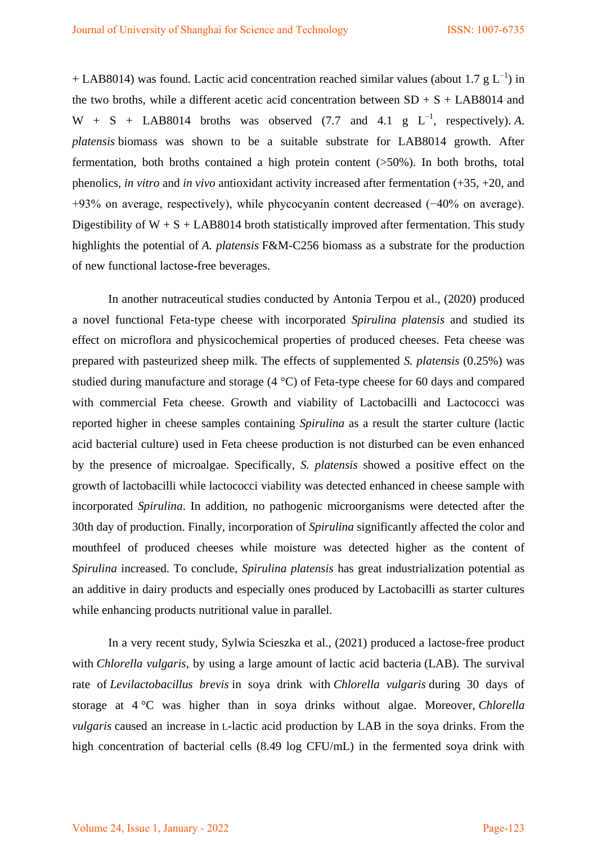+ LAB8014) was found. Lactic acid concentration reached similar values (about 1.7 g  $L^{-1}$ ) in the two broths, while a different acetic acid concentration between  $SD + S + LAB8014$  and  $W + S + LAB8014$  broths was observed (7.7 and 4.1 g  $L^{-1}$ , respectively). A. *platensis* biomass was shown to be a suitable substrate for LAB8014 growth. After fermentation, both broths contained a high protein content (>50%). In both broths, total phenolics, *in vitro* and *in vivo* antioxidant activity increased after fermentation (+35, +20, and +93% on average, respectively), while phycocyanin content decreased (−40% on average). Digestibility of  $W + S + LAB8014$  broth statistically improved after fermentation. This study highlights the potential of *A. platensis* F&M-C256 biomass as a substrate for the production of new functional lactose-free beverages.

In another nutraceutical studies conducted by Antonia Terpou et al., (2020) produced a novel functional Feta-type cheese with incorporated *Spirulina platensis* and studied its effect on microflora and physicochemical properties of produced cheeses. Feta cheese was prepared with pasteurized sheep milk. The effects of supplemented *S. platensis* (0.25%) was studied during manufacture and storage (4 °C) of Feta-type cheese for 60 days and compared with commercial Feta cheese. Growth and viability of Lactobacilli and Lactococci was reported higher in cheese samples containing *Spirulina* as a result the starter culture (lactic acid bacterial culture) used in Feta cheese production is not disturbed can be even enhanced by the presence of microalgae. Specifically, *S. platensis* showed a positive effect on the growth of lactobacilli while lactococci viability was detected enhanced in cheese sample with incorporated *Spirulina*. In addition, no pathogenic microorganisms were detected after the 30th day of production. Finally, incorporation of *Spirulina* significantly affected the color and mouthfeel of produced cheeses while moisture was detected higher as the content of *Spirulina* increased. To conclude, *Spirulina platensis* has great industrialization potential as an additive in dairy products and especially ones produced by Lactobacilli as starter cultures while enhancing products nutritional value in parallel.

In a very recent study, [Sylwia Scieszka](https://www.sciencedirect.com/science/article/abs/pii/S0023643821012846#!) et al., (2021) produced a lactose-free product with *Chlorella vulgaris*, by using a large amount of lactic acid bacteria (LAB). The survival rate of *Levilactobacillus brevis* in soya drink with *Chlorella vulgaris* during 30 days of storage at 4 °C was higher than in soya drinks without algae. Moreover, *Chlorella vulgaris* caused an increase in L-lactic acid production by LAB in the soya drinks. From the high concentration of bacterial cells (8.49 log CFU/mL) in the fermented soya drink with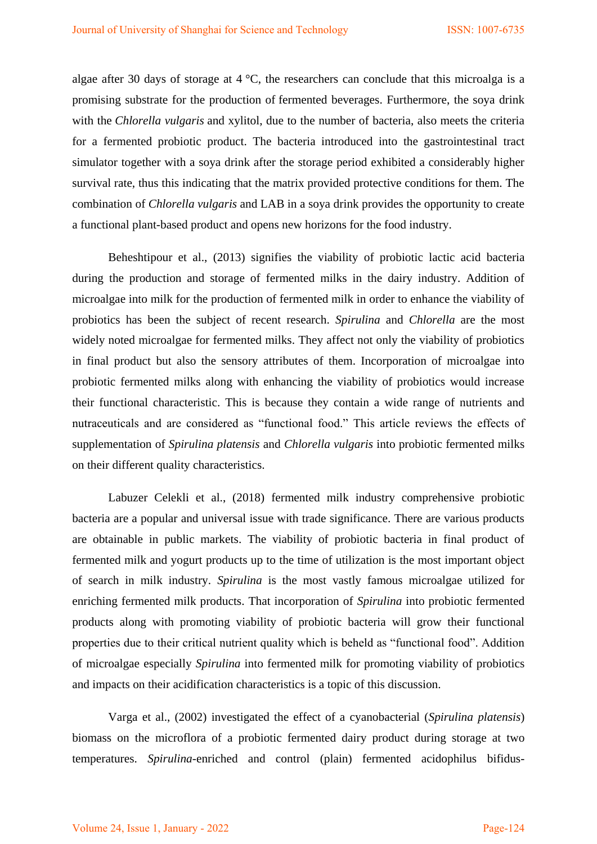algae after 30 days of storage at 4 °C, the researchers can conclude that this microalga is a promising substrate for the production of fermented beverages. Furthermore, the soya drink with the *Chlorella vulgaris* and xylitol, due to the number of bacteria, also meets the criteria for a fermented probiotic product. The bacteria introduced into the gastrointestinal tract simulator together with a soya drink after the storage period exhibited a considerably higher survival rate, thus this indicating that the matrix provided protective conditions for them. The combination of *Chlorella vulgaris* and LAB in a soya drink provides the opportunity to create a functional plant-based product and opens new horizons for the food industry.

Beheshtipour et al., (2013) signifies the viability of probiotic lactic acid bacteria during the production and storage of fermented milks in the dairy industry. Addition of microalgae into milk for the production of fermented milk in order to enhance the viability of probiotics has been the subject of recent research. *Spirulina* and *Chlorella* are the most widely noted microalgae for fermented milks. They affect not only the viability of probiotics in final product but also the sensory attributes of them. Incorporation of microalgae into probiotic fermented milks along with enhancing the viability of probiotics would increase their functional characteristic. This is because they contain a wide range of nutrients and nutraceuticals and are considered as "functional food." This article reviews the effects of supplementation of *Spirulina platensis* and *Chlorella vulgaris* into probiotic fermented milks on their different quality characteristics.

Labuzer Celekli et al., (2018) fermented milk industry comprehensive probiotic bacteria are a popular and universal issue with trade significance. There are various products are obtainable in public markets. The viability of probiotic bacteria in final product of fermented milk and yogurt products up to the time of utilization is the most important object of search in milk industry. *Spirulina* is the most vastly famous microalgae utilized for enriching fermented milk products. That incorporation of *Spirulina* into probiotic fermented products along with promoting viability of probiotic bacteria will grow their functional properties due to their critical nutrient quality which is beheld as "functional food". Addition of microalgae especially *Spirulina* into fermented milk for promoting viability of probiotics and impacts on their acidification characteristics is a topic of this discussion.

Varga et al., (2002) investigated the effect of a cyanobacterial (*Spirulina platensis*) biomass on the microflora of a probiotic fermented dairy product during storage at two temperatures. *Spirulina*-enriched and control (plain) fermented acidophilus bifidus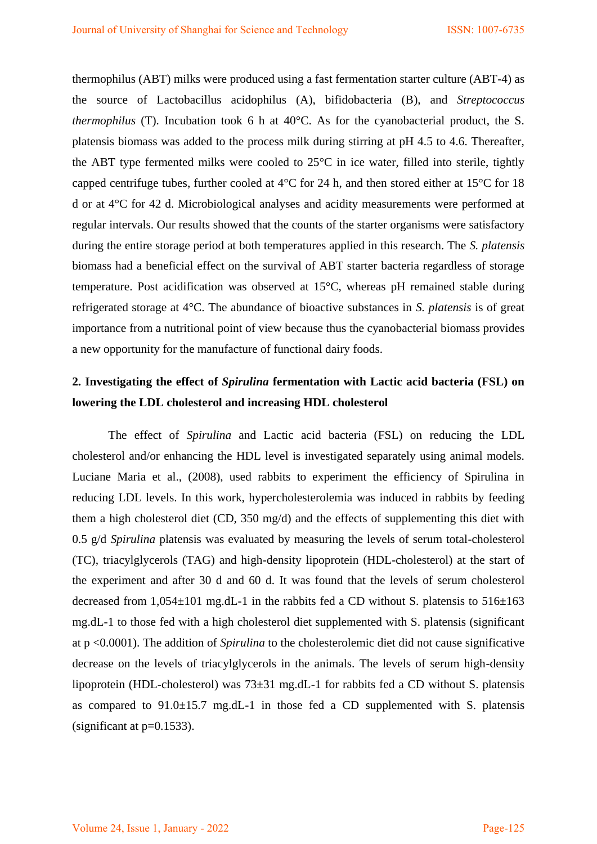thermophilus (ABT) milks were produced using a fast fermentation starter culture (ABT-4) as the source of Lactobacillus acidophilus (A), bifidobacteria (B), and *Streptococcus thermophilus* (T). Incubation took 6 h at 40°C. As for the cyanobacterial product, the S. platensis biomass was added to the process milk during stirring at pH 4.5 to 4.6. Thereafter, the ABT type fermented milks were cooled to 25°C in ice water, filled into sterile, tightly capped centrifuge tubes, further cooled at 4°C for 24 h, and then stored either at 15°C for 18 d or at 4°C for 42 d. Microbiological analyses and acidity measurements were performed at regular intervals. Our results showed that the counts of the starter organisms were satisfactory during the entire storage period at both temperatures applied in this research. The *S. platensis* biomass had a beneficial effect on the survival of ABT starter bacteria regardless of storage temperature. Post acidification was observed at 15°C, whereas pH remained stable during refrigerated storage at 4°C. The abundance of bioactive substances in *S. platensis* is of great importance from a nutritional point of view because thus the cyanobacterial biomass provides a new opportunity for the manufacture of functional dairy foods.

## **2. Investigating the effect of** *Spirulina* **fermentation with Lactic acid bacteria (FSL) on lowering the LDL cholesterol and increasing HDL cholesterol**

The effect of *Spirulina* and Lactic acid bacteria (FSL) on reducing the LDL cholesterol and/or enhancing the HDL level is investigated separately using animal models. Luciane Maria et al., (2008), used rabbits to experiment the efficiency of Spirulina in reducing LDL levels. In this work, hypercholesterolemia was induced in rabbits by feeding them a high cholesterol diet (CD, 350 mg/d) and the effects of supplementing this diet with 0.5 g/d *Spirulina* platensis was evaluated by measuring the levels of serum total-cholesterol (TC), triacylglycerols (TAG) and high-density lipoprotein (HDL-cholesterol) at the start of the experiment and after 30 d and 60 d. It was found that the levels of serum cholesterol decreased from  $1,054\pm101$  mg.dL-1 in the rabbits fed a CD without S. platensis to  $516\pm163$ mg.dL-1 to those fed with a high cholesterol diet supplemented with S. platensis (significant at p <0.0001). The addition of *Spirulina* to the cholesterolemic diet did not cause significative decrease on the levels of triacylglycerols in the animals. The levels of serum high-density lipoprotein (HDL-cholesterol) was 73±31 mg.dL-1 for rabbits fed a CD without S. platensis as compared to  $91.0 \pm 15.7$  mg.dL-1 in those fed a CD supplemented with S. platensis (significant at  $p=0.1533$ ).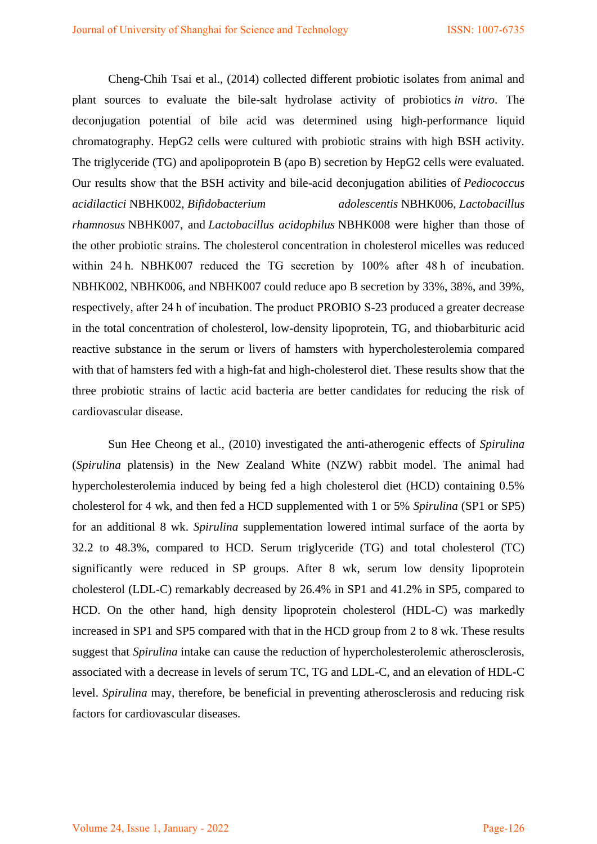Cheng-Chih Tsai et al., (2014) collected different probiotic isolates from animal and plant sources to evaluate the bile-salt hydrolase activity of probiotics *in vitro*. The deconjugation potential of bile acid was determined using high-performance liquid chromatography. HepG2 cells were cultured with probiotic strains with high BSH activity. The triglyceride (TG) and apolipoprotein B (apo B) secretion by HepG2 cells were evaluated. Our results show that the BSH activity and bile-acid deconjugation abilities of *Pediococcus acidilactici* NBHK002, *Bifidobacterium adolescentis* NBHK006, *Lactobacillus rhamnosus* NBHK007, and *Lactobacillus acidophilus* NBHK008 were higher than those of the other probiotic strains. The cholesterol concentration in cholesterol micelles was reduced within 24 h. NBHK007 reduced the TG secretion by 100% after 48 h of incubation. NBHK002, NBHK006, and NBHK007 could reduce apo B secretion by 33%, 38%, and 39%, respectively, after 24 h of incubation. The product PROBIO S-23 produced a greater decrease in the total concentration of cholesterol, low-density lipoprotein, TG, and thiobarbituric acid reactive substance in the serum or livers of hamsters with hypercholesterolemia compared with that of hamsters fed with a high-fat and high-cholesterol diet. These results show that the three probiotic strains of lactic acid bacteria are better candidates for reducing the risk of cardiovascular disease.

Sun Hee Cheong et al., (2010) investigated the anti-atherogenic effects of *Spirulina* (*Spirulina* platensis) in the New Zealand White (NZW) rabbit model. The animal had hypercholesterolemia induced by being fed a high cholesterol diet (HCD) containing 0.5% cholesterol for 4 wk, and then fed a HCD supplemented with 1 or 5% *Spirulina* (SP1 or SP5) for an additional 8 wk. *Spirulina* supplementation lowered intimal surface of the aorta by 32.2 to 48.3%, compared to HCD. Serum triglyceride (TG) and total cholesterol (TC) significantly were reduced in SP groups. After 8 wk, serum low density lipoprotein cholesterol (LDL-C) remarkably decreased by 26.4% in SP1 and 41.2% in SP5, compared to HCD. On the other hand, high density lipoprotein cholesterol (HDL-C) was markedly increased in SP1 and SP5 compared with that in the HCD group from 2 to 8 wk. These results suggest that *Spirulina* intake can cause the reduction of hypercholesterolemic atherosclerosis, associated with a decrease in levels of serum TC, TG and LDL-C, and an elevation of HDL-C level. *Spirulina* may, therefore, be beneficial in preventing atherosclerosis and reducing risk factors for cardiovascular diseases.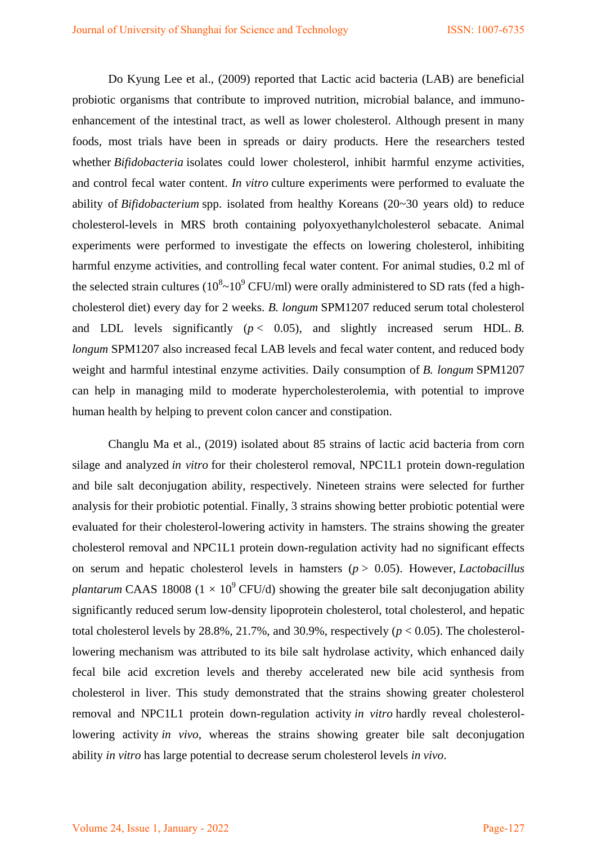Do Kyung Lee et al., (2009) reported that Lactic acid bacteria (LAB) are beneficial probiotic organisms that contribute to improved nutrition, microbial balance, and immunoenhancement of the intestinal tract, as well as lower cholesterol. Although present in many foods, most trials have been in spreads or dairy products. Here the researchers tested whether *Bifidobacteria* isolates could lower cholesterol, inhibit harmful enzyme activities, and control fecal water content. *In vitro* culture experiments were performed to evaluate the ability of *Bifidobacterium* spp. isolated from healthy Koreans (20~30 years old) to reduce cholesterol-levels in MRS broth containing polyoxyethanylcholesterol sebacate. Animal experiments were performed to investigate the effects on lowering cholesterol, inhibiting harmful enzyme activities, and controlling fecal water content. For animal studies, 0.2 ml of the selected strain cultures ( $10^8 \sim 10^9$  CFU/ml) were orally administered to SD rats (fed a highcholesterol diet) every day for 2 weeks. *B. longum* SPM1207 reduced serum total cholesterol and LDL levels significantly  $(p < 0.05)$ , and slightly increased serum HDL. *B*. *longum* SPM1207 also increased fecal LAB levels and fecal water content, and reduced body weight and harmful intestinal enzyme activities. Daily consumption of *B. longum* SPM1207 can help in managing mild to moderate hypercholesterolemia, with potential to improve human health by helping to prevent colon cancer and constipation.

Changlu Ma et al., (2019) isolated about 85 strains of lactic acid bacteria from corn silage and analyzed *in vitro* for their cholesterol removal, NPC1L1 protein down-regulation and bile salt deconjugation ability, respectively. Nineteen strains were selected for further analysis for their probiotic potential. Finally, 3 strains showing better probiotic potential were evaluated for their cholesterol-lowering activity in hamsters. The strains showing the greater cholesterol removal and NPC1L1 protein down-regulation activity had no significant effects on serum and hepatic cholesterol levels in hamsters (*p* > 0.05). However, *Lactobacillus plantarum* CAAS 18008 ( $1 \times 10^9$  CFU/d) showing the greater bile salt deconjugation ability significantly reduced serum low-density lipoprotein cholesterol, total cholesterol, and hepatic total cholesterol levels by  $28.8\%$ ,  $21.7\%$ , and  $30.9\%$ , respectively ( $p < 0.05$ ). The cholesterollowering mechanism was attributed to its bile salt hydrolase activity, which enhanced daily fecal bile acid excretion levels and thereby accelerated new bile acid synthesis from cholesterol in liver. This study demonstrated that the strains showing greater cholesterol removal and NPC1L1 protein down-regulation activity *in vitro* hardly reveal cholesterollowering activity *in vivo*, whereas the strains showing greater bile salt deconjugation ability *in vitro* has large potential to decrease serum cholesterol levels *in vivo*.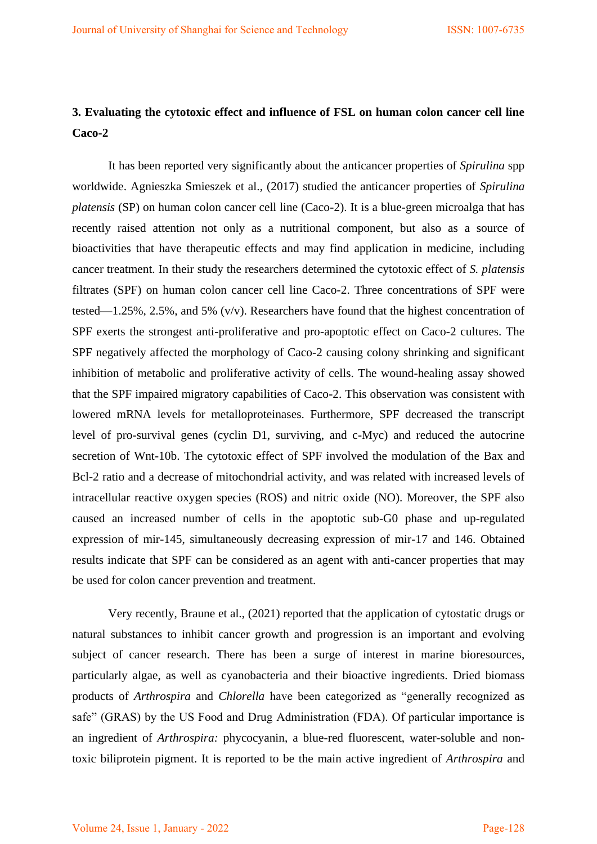# **3. Evaluating the cytotoxic effect and influence of FSL on human colon cancer cell line Caco-2**

It has been reported very significantly about the anticancer properties of *Spirulina* spp worldwide. Agnieszka Smieszek et al., (2017) studied the anticancer properties of *Spirulina platensis* (SP) on human colon cancer cell line (Caco-2). It is a blue-green microalga that has recently raised attention not only as a nutritional component, but also as a source of bioactivities that have therapeutic effects and may find application in medicine, including cancer treatment. In their study the researchers determined the cytotoxic effect of *S. platensis* filtrates (SPF) on human colon cancer cell line Caco-2. Three concentrations of SPF were tested—1.25%, 2.5%, and 5% (v/v). Researchers have found that the highest concentration of SPF exerts the strongest anti-proliferative and pro-apoptotic effect on Caco-2 cultures. The SPF negatively affected the morphology of Caco-2 causing colony shrinking and significant inhibition of metabolic and proliferative activity of cells. The wound-healing assay showed that the SPF impaired migratory capabilities of Caco-2. This observation was consistent with lowered mRNA levels for metalloproteinases. Furthermore, SPF decreased the transcript level of pro-survival genes (cyclin D1, surviving, and c-Myc) and reduced the autocrine secretion of Wnt-10b. The cytotoxic effect of SPF involved the modulation of the Bax and Bcl-2 ratio and a decrease of mitochondrial activity, and was related with increased levels of intracellular reactive oxygen species (ROS) and nitric oxide (NO). Moreover, the SPF also caused an increased number of cells in the apoptotic sub-G0 phase and up-regulated expression of mir-145, simultaneously decreasing expression of mir-17 and 146. Obtained results indicate that SPF can be considered as an agent with anti-cancer properties that may be used for colon cancer prevention and treatment.

Very recently, Braune et al., (2021) reported that the application of cytostatic drugs or natural substances to inhibit cancer growth and progression is an important and evolving subject of cancer research. There has been a surge of interest in marine bioresources, particularly algae, as well as cyanobacteria and their bioactive ingredients. Dried biomass products of *Arthrospira* and *Chlorella* have been categorized as "generally recognized as safe" (GRAS) by the US Food and Drug Administration (FDA). Of particular importance is an ingredient of *Arthrospira:* phycocyanin, a blue-red fluorescent, water-soluble and nontoxic biliprotein pigment. It is reported to be the main active ingredient of *Arthrospira* and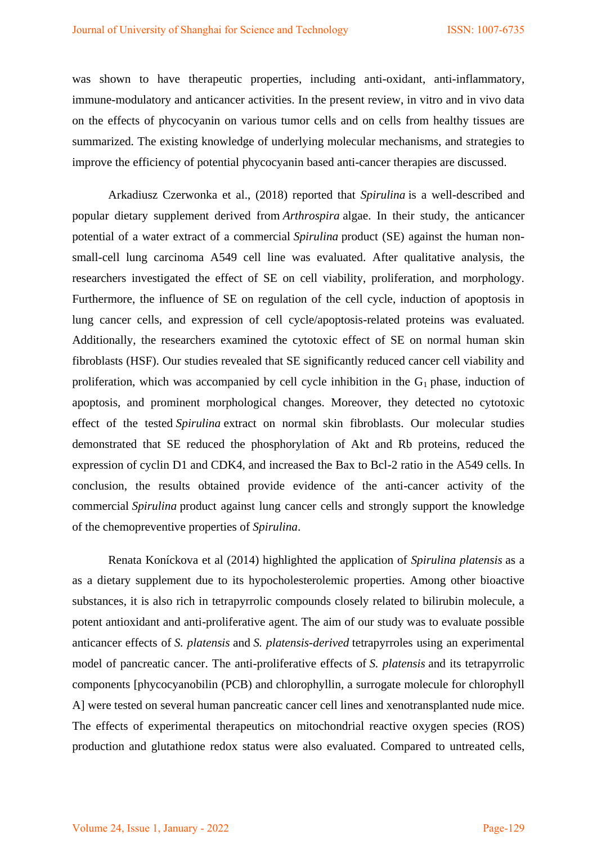was shown to have therapeutic properties, including anti-oxidant, anti-inflammatory, immune-modulatory and anticancer activities. In the present review, in vitro and in vivo data on the effects of phycocyanin on various tumor cells and on cells from healthy tissues are summarized. The existing knowledge of underlying molecular mechanisms, and strategies to improve the efficiency of potential phycocyanin based anti-cancer therapies are discussed.

Arkadiusz Czerwonka et al., (2018) reported that *Spirulina* is a well-described and popular dietary supplement derived from *Arthrospira* algae. In their study, the anticancer potential of a water extract of a commercial *Spirulina* product (SE) against the human nonsmall-cell lung carcinoma A549 cell line was evaluated. After qualitative analysis, the researchers investigated the effect of SE on cell viability, proliferation, and morphology. Furthermore, the influence of SE on regulation of the cell cycle, induction of apoptosis in lung cancer cells, and expression of cell cycle/apoptosis-related proteins was evaluated. Additionally, the researchers examined the cytotoxic effect of SE on normal human skin fibroblasts (HSF). Our studies revealed that SE significantly reduced cancer cell viability and proliferation, which was accompanied by cell cycle inhibition in the  $G_1$  phase, induction of apoptosis, and prominent morphological changes. Moreover, they detected no cytotoxic effect of the tested *Spirulina* extract on normal skin fibroblasts. Our molecular studies demonstrated that SE reduced the phosphorylation of Akt and Rb proteins, reduced the expression of cyclin D1 and CDK4, and increased the Bax to Bcl-2 ratio in the A549 cells. In conclusion, the results obtained provide evidence of the anti-cancer activity of the commercial *Spirulina* product against lung cancer cells and strongly support the knowledge of the chemopreventive properties of *Spirulina*.

Renata Koníckova et al (2014) highlighted the application of *Spirulina platensis* as a as a dietary supplement due to its hypocholesterolemic properties. Among other bioactive substances, it is also rich in tetrapyrrolic compounds closely related to bilirubin molecule, a potent antioxidant and anti-proliferative agent. The aim of our study was to evaluate possible anticancer effects of *S. platensis* and *S. platensis-derived* tetrapyrroles using an experimental model of pancreatic cancer. The anti-proliferative effects of *S. platensis* and its tetrapyrrolic components [phycocyanobilin (PCB) and chlorophyllin, a surrogate molecule for chlorophyll A] were tested on several human pancreatic cancer cell lines and xenotransplanted nude mice. The effects of experimental therapeutics on mitochondrial reactive oxygen species (ROS) production and glutathione redox status were also evaluated. Compared to untreated cells,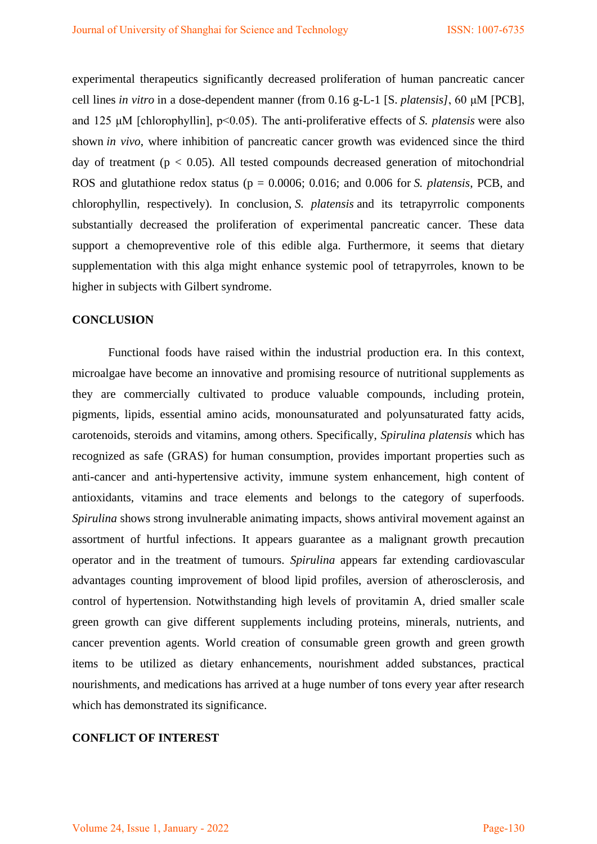experimental therapeutics significantly decreased proliferation of human pancreatic cancer cell lines *in vitro* in a dose-dependent manner (from 0.16 g-L-1 [S. *platensis]*, 60 μΜ [PCB], and 125 μΜ [chlorophyllin], p<0.05). The anti-proliferative effects of *S. platensis* were also shown *in vivo*, where inhibition of pancreatic cancer growth was evidenced since the third day of treatment ( $p < 0.05$ ). All tested compounds decreased generation of mitochondrial ROS and glutathione redox status (p = 0.0006; 0.016; and 0.006 for *S. platensis*, PCB, and chlorophyllin, respectively). In conclusion, *S. platensis* and its tetrapyrrolic components substantially decreased the proliferation of experimental pancreatic cancer. These data support a chemopreventive role of this edible alga. Furthermore, it seems that dietary supplementation with this alga might enhance systemic pool of tetrapyrroles, known to be higher in subjects with Gilbert syndrome.

#### **CONCLUSION**

Functional foods have raised within the industrial production era. In this context, microalgae have become an innovative and promising resource of nutritional supplements as they are commercially cultivated to produce valuable compounds, including protein, pigments, lipids, essential amino acids, monounsaturated and polyunsaturated fatty acids, carotenoids, steroids and vitamins, among others. Specifically, *Spirulina platensis* which has recognized as safe (GRAS) for human consumption, provides important properties such as anti-cancer and anti-hypertensive activity, immune system enhancement, high content of antioxidants, vitamins and trace elements and belongs to the category of superfoods. *Spirulina* shows strong invulnerable animating impacts, shows antiviral movement against an assortment of hurtful infections. It appears guarantee as a malignant growth precaution operator and in the treatment of tumours. *Spirulina* appears far extending cardiovascular advantages counting improvement of blood lipid profiles, aversion of atherosclerosis, and control of hypertension. Notwithstanding high levels of provitamin A, dried smaller scale green growth can give different supplements including proteins, minerals, nutrients, and cancer prevention agents. World creation of consumable green growth and green growth items to be utilized as dietary enhancements, nourishment added substances, practical nourishments, and medications has arrived at a huge number of tons every year after research which has demonstrated its significance.

### **CONFLICT OF INTEREST**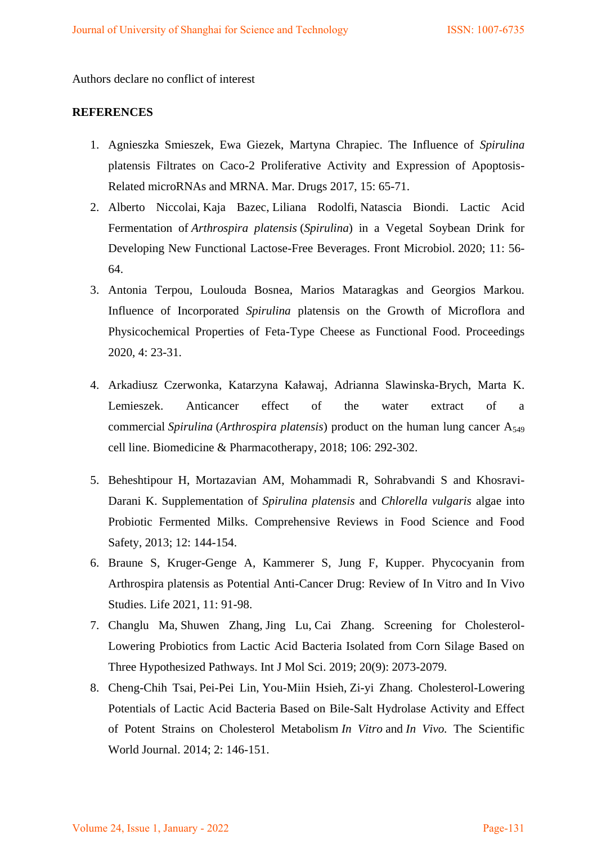Authors declare no conflict of interest

### **REFERENCES**

- 1. Agnieszka Smieszek, Ewa Giezek, Martyna Chrapiec. The Influence of *Spirulina* platensis Filtrates on Caco-2 Proliferative Activity and Expression of Apoptosis-Related microRNAs and MRNA. Mar. Drugs 2017, 15: 65-71.
- 2. [Alberto Niccolai,](https://www.ncbi.nlm.nih.gov/pubmed/?term=Niccolai%20A%5BAuthor%5D&cauthor=true&cauthor_uid=33193143) [Kaja Bazec,](https://www.ncbi.nlm.nih.gov/pubmed/?term=Ba%26%23x0017e%3Bec%20K%5BAuthor%5D&cauthor=true&cauthor_uid=33193143) [Liliana Rodolfi,](https://www.ncbi.nlm.nih.gov/pubmed/?term=Rodolfi%20L%5BAuthor%5D&cauthor=true&cauthor_uid=33193143) [Natascia Biondi.](https://www.ncbi.nlm.nih.gov/pubmed/?term=Biondi%20N%5BAuthor%5D&cauthor=true&cauthor_uid=33193143) Lactic Acid Fermentation of *Arthrospira platensis* (*Spirulina*) in a Vegetal Soybean Drink for Developing New Functional Lactose-Free Beverages. Front Microbiol. 2020; 11: 56- 64.
- 3. Antonia Terpou, Loulouda Bosnea, Marios Mataragkas and Georgios Markou. Influence of Incorporated *Spirulina* platensis on the Growth of Microflora and Physicochemical Properties of Feta-Type Cheese as Functional Food. Proceedings 2020, 4: 23-31.
- 4. [Arkadiusz Czerwonka, Katarzyna Kaławaj, Adrianna Slawinska-Brych, Marta K.](https://www.sciencedirect.com/science/article/abs/pii/S0753332218332931#!)  [Lemieszek.](https://www.sciencedirect.com/science/article/abs/pii/S0753332218332931#!) Anticancer effect of the water extract of a commercial *Spirulina* (*Arthrospira platensis*) product on the human lung cancer A<sup>549</sup> cell line. [Biomedicine & Pharmacotherapy,](https://www.sciencedirect.com/science/journal/07533322) 2018; 106: 292-302.
- 5. Beheshtipour H, Mortazavian AM, Mohammadi R, Sohrabvandi S and Khosravi-Darani K. Supplementation of *Spirulina platensis* and *Chlorella vulgaris* algae into Probiotic Fermented Milks. Comprehensive Reviews in Food Science and Food Safety, 2013; 12: 144-154.
- 6. Braune S, Kruger-Genge A, Kammerer S, Jung F, Kupper. Phycocyanin from Arthrospira platensis as Potential Anti-Cancer Drug: Review of In Vitro and In Vivo Studies. Life 2021, 11: 91-98.
- 7. Changlu Ma, Shuwen Zhang, Jing Lu, Cai Zhang. Screening for Cholesterol-Lowering Probiotics from Lactic Acid Bacteria Isolated from Corn Silage Based on Three Hypothesized Pathways. Int J Mol Sci. 2019; 20(9): 2073-2079.
- 8. Cheng-Chih Tsai, Pei-Pei Lin, You-Miin Hsieh, Zi-yi Zhang. Cholesterol-Lowering Potentials of Lactic Acid Bacteria Based on Bile-Salt Hydrolase Activity and Effect of Potent Strains on Cholesterol Metabolism *In Vitro* and *In Vivo.* [The Scientific](https://www.hindawi.com/journals/tswj/)  [World Journal.](https://www.hindawi.com/journals/tswj/) [2014;](https://www.hindawi.com/journals/tswj/contents/year/2014/) 2: 146-151.